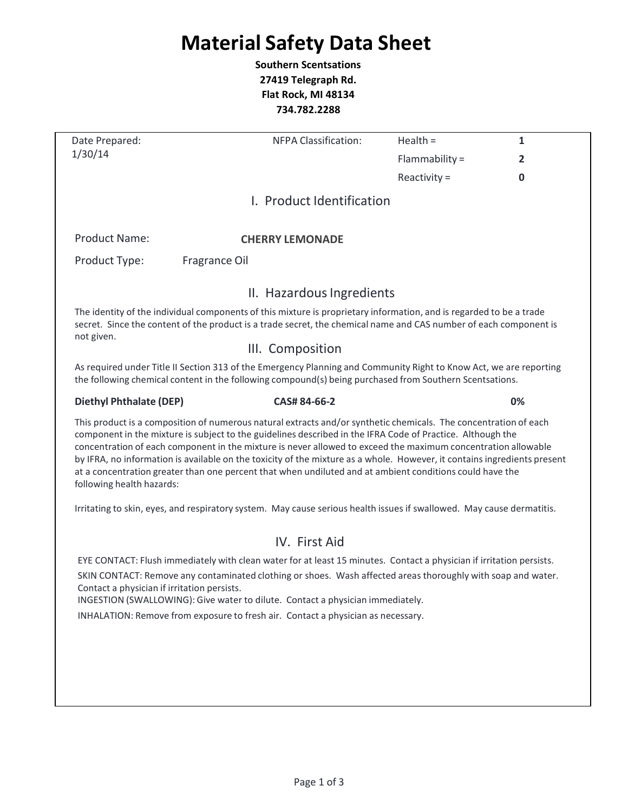# **Material Safety Data Sheet**

**Southern Scentsations 27419 Telegraph Rd. Flat Rock, MI 48134 734.782.2288**

| Date Prepared:                                                                                                                                                                                                                                                                                                                                                                                                                                                                                                                                                                                                       | <b>NFPA Classification:</b>                                                                                                                                                                                                                                                                                                                                                                                | Health $=$     | $\mathbf{1}$ |  |
|----------------------------------------------------------------------------------------------------------------------------------------------------------------------------------------------------------------------------------------------------------------------------------------------------------------------------------------------------------------------------------------------------------------------------------------------------------------------------------------------------------------------------------------------------------------------------------------------------------------------|------------------------------------------------------------------------------------------------------------------------------------------------------------------------------------------------------------------------------------------------------------------------------------------------------------------------------------------------------------------------------------------------------------|----------------|--------------|--|
| 1/30/14                                                                                                                                                                                                                                                                                                                                                                                                                                                                                                                                                                                                              |                                                                                                                                                                                                                                                                                                                                                                                                            | Flammability = | 2            |  |
|                                                                                                                                                                                                                                                                                                                                                                                                                                                                                                                                                                                                                      |                                                                                                                                                                                                                                                                                                                                                                                                            | Reactivity $=$ | $\mathbf 0$  |  |
|                                                                                                                                                                                                                                                                                                                                                                                                                                                                                                                                                                                                                      | I. Product Identification                                                                                                                                                                                                                                                                                                                                                                                  |                |              |  |
| <b>Product Name:</b>                                                                                                                                                                                                                                                                                                                                                                                                                                                                                                                                                                                                 | <b>CHERRY LEMONADE</b>                                                                                                                                                                                                                                                                                                                                                                                     |                |              |  |
| Product Type:                                                                                                                                                                                                                                                                                                                                                                                                                                                                                                                                                                                                        | Fragrance Oil                                                                                                                                                                                                                                                                                                                                                                                              |                |              |  |
|                                                                                                                                                                                                                                                                                                                                                                                                                                                                                                                                                                                                                      | II. Hazardous Ingredients                                                                                                                                                                                                                                                                                                                                                                                  |                |              |  |
| The identity of the individual components of this mixture is proprietary information, and is regarded to be a trade<br>secret. Since the content of the product is a trade secret, the chemical name and CAS number of each component is                                                                                                                                                                                                                                                                                                                                                                             |                                                                                                                                                                                                                                                                                                                                                                                                            |                |              |  |
| not given.<br>III. Composition                                                                                                                                                                                                                                                                                                                                                                                                                                                                                                                                                                                       |                                                                                                                                                                                                                                                                                                                                                                                                            |                |              |  |
|                                                                                                                                                                                                                                                                                                                                                                                                                                                                                                                                                                                                                      | As required under Title II Section 313 of the Emergency Planning and Community Right to Know Act, we are reporting<br>the following chemical content in the following compound(s) being purchased from Southern Scentsations.                                                                                                                                                                              |                |              |  |
| <b>Diethyl Phthalate (DEP)</b>                                                                                                                                                                                                                                                                                                                                                                                                                                                                                                                                                                                       | CAS# 84-66-2                                                                                                                                                                                                                                                                                                                                                                                               |                | 0%           |  |
| This product is a composition of numerous natural extracts and/or synthetic chemicals. The concentration of each<br>component in the mixture is subject to the guidelines described in the IFRA Code of Practice. Although the<br>concentration of each component in the mixture is never allowed to exceed the maximum concentration allowable<br>by IFRA, no information is available on the toxicity of the mixture as a whole. However, it contains ingredients present<br>at a concentration greater than one percent that when undiluted and at ambient conditions could have the<br>following health hazards: |                                                                                                                                                                                                                                                                                                                                                                                                            |                |              |  |
|                                                                                                                                                                                                                                                                                                                                                                                                                                                                                                                                                                                                                      | Irritating to skin, eyes, and respiratory system. May cause serious health issues if swallowed. May cause dermatitis.                                                                                                                                                                                                                                                                                      |                |              |  |
|                                                                                                                                                                                                                                                                                                                                                                                                                                                                                                                                                                                                                      | IV. First Aid                                                                                                                                                                                                                                                                                                                                                                                              |                |              |  |
| Contact a physician if irritation persists.                                                                                                                                                                                                                                                                                                                                                                                                                                                                                                                                                                          | EYE CONTACT: Flush immediately with clean water for at least 15 minutes. Contact a physician if irritation persists.<br>SKIN CONTACT: Remove any contaminated clothing or shoes. Wash affected areas thoroughly with soap and water.<br>INGESTION (SWALLOWING): Give water to dilute. Contact a physician immediately.<br>INHALATION: Remove from exposure to fresh air. Contact a physician as necessary. |                |              |  |
|                                                                                                                                                                                                                                                                                                                                                                                                                                                                                                                                                                                                                      |                                                                                                                                                                                                                                                                                                                                                                                                            |                |              |  |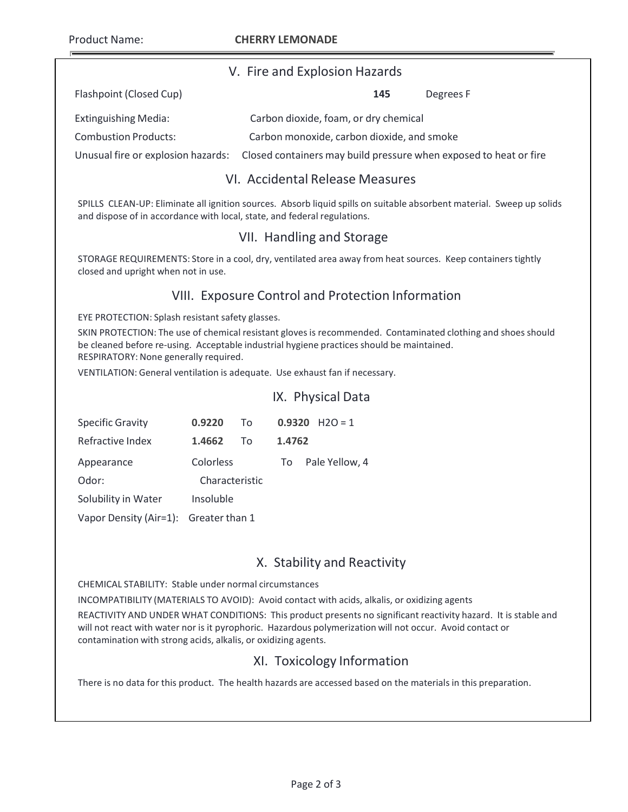Product Name: **CHERRY LEMONADE**

Flashpoint (Closed Cup) **145** Degrees F

#### V. Fire and Explosion Hazards

| <u>I IUSHDOIHETEIOSEU EUDT</u> | ---<br><b>DUSICUS</b> I                                                                              |
|--------------------------------|------------------------------------------------------------------------------------------------------|
| Extinguishing Media:           | Carbon dioxide, foam, or dry chemical                                                                |
| <b>Combustion Products:</b>    | Carbon monoxide, carbon dioxide, and smoke                                                           |
|                                | Unusual fire or explosion hazards: Closed containers may build pressure when exposed to heat or fire |

# VI. Accidental Release Measures

SPILLS CLEAN‐UP: Eliminate all ignition sources. Absorb liquid spills on suitable absorbent material. Sweep up solids and dispose of in accordance with local, state, and federal regulations.

# VII. Handling and Storage

STORAGE REQUIREMENTS: Store in a cool, dry, ventilated area away from heat sources. Keep containers tightly closed and upright when not in use.

# VIII. Exposure Control and Protection Information

EYE PROTECTION: Splash resistant safety glasses.

SKIN PROTECTION: The use of chemical resistant gloves is recommended. Contaminated clothing and shoes should be cleaned before re-using. Acceptable industrial hygiene practices should be maintained. RESPIRATORY: None generally required.

IX. Physical Data

VENTILATION: General ventilation is adequate. Use exhaust fan if necessary.

|                                       |                |    |        | IA. PHYSICAI DALA |
|---------------------------------------|----------------|----|--------|-------------------|
| <b>Specific Gravity</b>               | 0.9220         | To | 0.9320 | $H2O = 1$         |
| Refractive Index                      | 1.4662         | Τo | 1.4762 |                   |
| Appearance                            | Colorless      |    | To     | Pale Yellow, 4    |
| Odor:                                 | Characteristic |    |        |                   |
| Solubility in Water                   | Insoluble      |    |        |                   |
| Vapor Density (Air=1): Greater than 1 |                |    |        |                   |

# X. Stability and Reactivity

CHEMICAL STABILITY: Stable under normal circumstances

INCOMPATIBILITY (MATERIALS TO AVOID): Avoid contact with acids, alkalis, or oxidizing agents

REACTIVITY AND UNDER WHAT CONDITIONS: This product presents no significant reactivity hazard. It is stable and will not react with water nor is it pyrophoric. Hazardous polymerization will not occur. Avoid contact or contamination with strong acids, alkalis, or oxidizing agents.

#### XI. Toxicology Information

There is no data for this product. The health hazards are accessed based on the materials in this preparation.